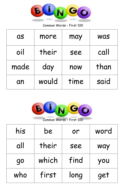

| <b>as</b> | more  | may  | <b>WAS</b> |
|-----------|-------|------|------------|
| oil       | their | see  | call       |
| made      | day   | now  | than       |
| an        | would | time | said       |



| his | be    | or   | word |
|-----|-------|------|------|
| all | their | see  | way  |
| 90  | which | find | you  |
| who | first | long | get  |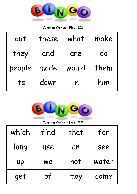

| out    | these | what  | make |
|--------|-------|-------|------|
| they   | and   | are   | do   |
| people | made  | would | them |
| its    | down  | in    | him  |



Common Words – First 100

| which     | find       | that | for   |
|-----------|------------|------|-------|
| long      | <b>USE</b> | an   | see   |
| <b>UP</b> | we         | not  | water |
| get       | of         | may  | come  |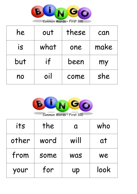

| he  | out  | these | can  |
|-----|------|-------|------|
| is  | what | one   | make |
| but | if   | been  | my   |
| no  | oil  | come  | she  |



| its   | the  | Q          | who  |
|-------|------|------------|------|
| other | word | will       | at   |
| from  | some | <b>WAS</b> | we   |
| your  | for  | <b>up</b>  | look |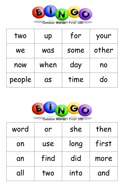

| two    | up         | for  | your  |
|--------|------------|------|-------|
| We     | <b>WAS</b> | some | other |
| now    | when       | day  | no    |
| people | <b>as</b>  | time | do    |



word or she then on use long first an | find | did | more all two into and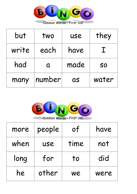

| but   | two    | <b>USE</b> | they      |
|-------|--------|------------|-----------|
| write | each   | have       |           |
| had   | Q      | made       | <b>SO</b> |
| many  | number | QS         | water     |



| more | people     | of   | have |
|------|------------|------|------|
| when | <b>USE</b> | time | not  |
| long | for        | to   | did  |
| he   | other      | We   | were |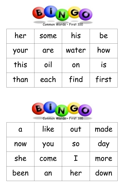

| her  | some | his   | be    |
|------|------|-------|-------|
| your | are  | water | how   |
| this | oil  | on    | is    |
| than | each | find  | first |



| $\mathbf \Omega$ | like | out            | made |
|------------------|------|----------------|------|
| now              | you  | S <sub>O</sub> | day  |
| she              | come | $\mathbf{I}$   | more |
| been             | an   | her            | down |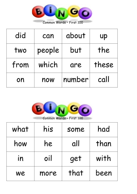

| did  | can    | about  | <b>UP</b> |
|------|--------|--------|-----------|
| two  | people | but    | the       |
| from | which  | are    | these     |
| on   | now    | number | call      |



| what | his  | some | had  |
|------|------|------|------|
| how  | he   | all  | than |
| in   | oil  | get  | with |
| we   | more | that | been |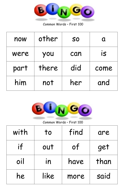

| now  | other | <b>SO</b> | Q    |
|------|-------|-----------|------|
| were | you   | can       | is   |
| part | there | did       | come |
| him  | not   | her       | and  |



| with | <b>to</b>                | find | are  |
|------|--------------------------|------|------|
| if   | out                      | of   | get  |
| oil  | $\overline{\mathsf{in}}$ | have | than |
| he   | like                     | more | said |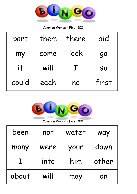

| part  | them | there        | did       |
|-------|------|--------------|-----------|
| my    | come | look         | 90        |
| it    | will | $\mathbf{L}$ | <b>SO</b> |
| could | each | no           | first     |



| been         | not  | water | way   |
|--------------|------|-------|-------|
| many         | were | your  | down  |
| $\mathbf{I}$ | into | him   | other |
| about        | will | may   | on    |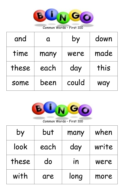

| and   | $\mathbf \Omega$ | by    | down |
|-------|------------------|-------|------|
| time  | many             | were  | made |
| these | each             | day   | this |
| some  | been             | could | way  |



| by    | but  | many | when  |
|-------|------|------|-------|
| look  | each | day  | write |
| these | do   | in   | were  |
| with  | are  | long | more  |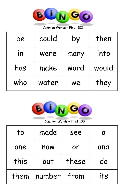

| be  | could | by   | then  |
|-----|-------|------|-------|
| in  | were  | many | into  |
| has | make  | word | would |
| who | water | we   | they  |



| to   | made   | see   |     |
|------|--------|-------|-----|
| one  | now    | or    | and |
| this | out    | these | do  |
| them | number | from  | its |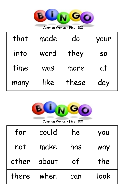

| that | made       | do    | your      |
|------|------------|-------|-----------|
| into | word       | they  | <b>SO</b> |
| time | <b>Was</b> | more  | at        |
| many | like       | these | day       |



| for   | could | he  | you  |
|-------|-------|-----|------|
| not   | make  | has | way  |
| other | about | of  | the  |
| there | when  | can | look |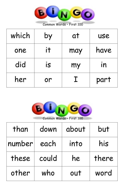

| which | by | at  | <b>USE</b> |
|-------|----|-----|------------|
| one   | it | may | have       |
| did   | is | my  | in         |
| her   | or |     | part       |



| than   | down  | about | but   |
|--------|-------|-------|-------|
| number | each  | into  | his   |
| these  | could | he    | there |
| other  | who   | out   | word  |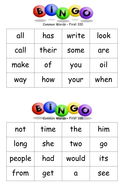

| all  | has   | write | look |
|------|-------|-------|------|
| call | their | some  | are  |
| make | of    | you   | oil  |
| way  | how   | your  | when |



| not    | time | the   | him       |
|--------|------|-------|-----------|
| long   | she  | two   | <b>go</b> |
| people | had  | would | its       |
| from   | get  | Ω     | see       |